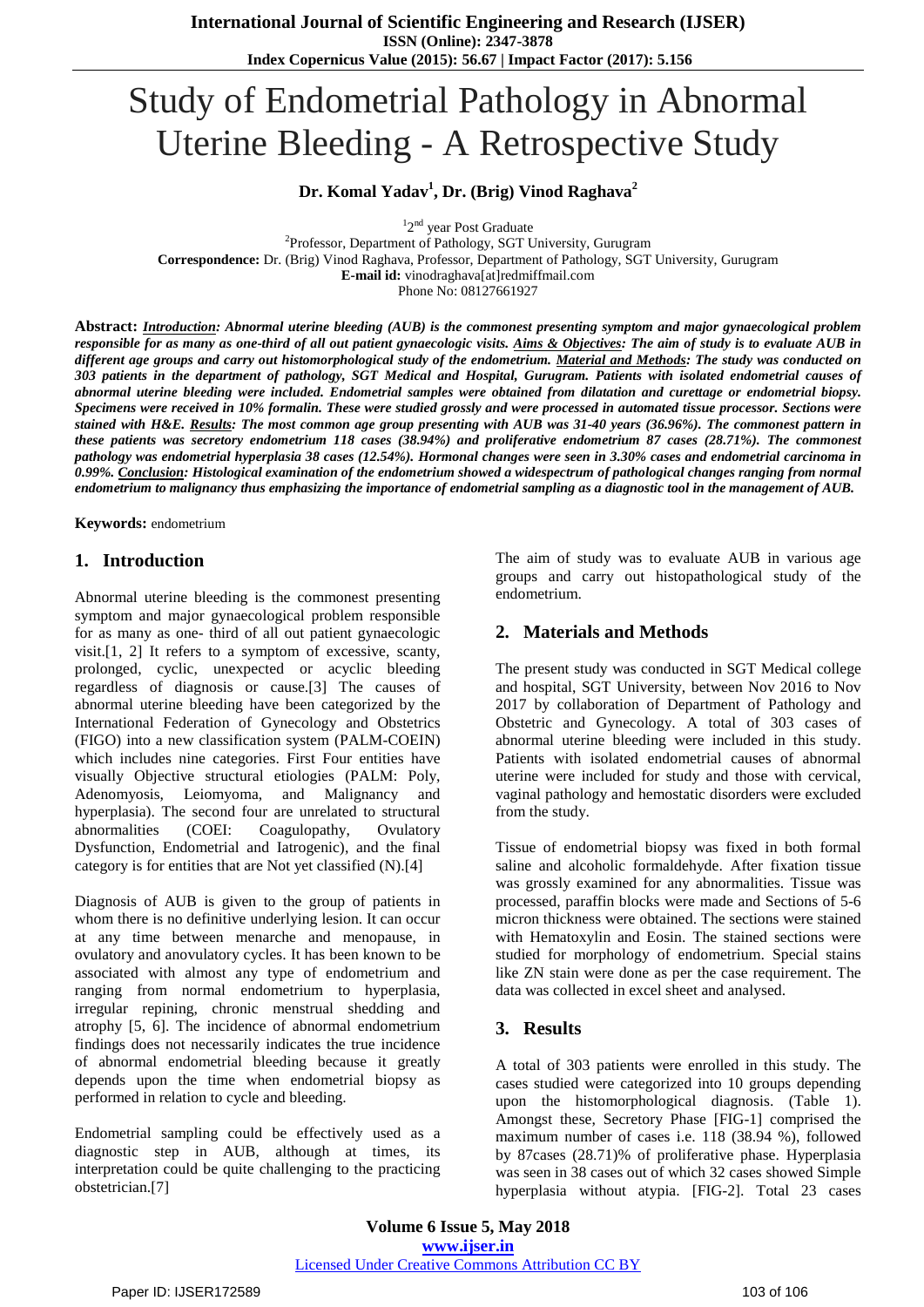# Study of Endometrial Pathology in Abnormal Uterine Bleeding - A Retrospective Study

## **Dr. Komal Yadav<sup>1</sup> , Dr. (Brig) Vinod Raghava 2**

<sup>1</sup>2<sup>nd</sup> year Post Graduate

2 Professor, Department of Pathology, SGT University, Gurugram **Correspondence:** Dr. (Brig) Vinod Raghava, Professor, Department of Pathology, SGT University, Gurugram **E-mail id:** vinodraghava[at]redmiffmail.com

Phone No: 08127661927

**Abstract:** *Introduction: Abnormal uterine bleeding (AUB) is the commonest presenting symptom and major gynaecological problem* responsible for as many as one-third of all out patient gynaecologic visits. Aims & Objectives: The aim of study is to evaluate AUB in different age groups and carry out histomorphological study of the endometrium. Material and Methods: The study was conducted on 303 patients in the department of pathology, SGT Medical and Hospital, Gurugram. Patients with isolated endometrial causes of abnormal uterine bleeding were included. Endometrial samples were obtained from dilatation and curettage or endometrial biopsy. Specimens were received in 10% formalin. These were studied grossly and were processed in automated tissue processor. Sections were stained with H&E. Results: The most common age group presenting with AUB was 31-40 years (36.96%). The commonest pattern in these patients was secretory endometrium 118 cases (38.94%) and proliferative endometrium 87 cases (28.71%). The commonest pathology was endometrial hyperplasia 38 cases (12.54%). Hormonal changes were seen in 3.30% cases and endometrial carcinoma in 0.99%. Conclusion: Histological examination of the endometrium showed a widespectrum of pathological changes ranging from normal endometrium to malignancy thus emphasizing the importance of endometrial sampling as a diagnostic tool in the management of AUB.

**Keywords:** endometrium

#### **1. Introduction**

Abnormal uterine bleeding is the commonest presenting symptom and major gynaecological problem responsible for as many as one- third of all out patient gynaecologic visit.[1, 2] It refers to a symptom of excessive, scanty, prolonged, cyclic, unexpected or acyclic bleeding regardless of diagnosis or cause.[3] The causes of abnormal uterine bleeding have been categorized by the International Federation of Gynecology and Obstetrics (FIGO) into a new classification system (PALM-COEIN) which includes nine categories. First Four entities have visually Objective structural etiologies (PALM: Poly, Adenomyosis, Leiomyoma, and Malignancy and hyperplasia). The second four are unrelated to structural abnormalities (COEI: Coagulopathy, Ovulatory Dysfunction, Endometrial and Iatrogenic), and the final category is for entities that are Not yet classified (N).[4]

Diagnosis of AUB is given to the group of patients in whom there is no definitive underlying lesion. It can occur at any time between menarche and menopause, in ovulatory and anovulatory cycles. It has been known to be associated with almost any type of endometrium and ranging from normal endometrium to hyperplasia, irregular repining, chronic menstrual shedding and atrophy [5, 6]. The incidence of abnormal endometrium findings does not necessarily indicates the true incidence of abnormal endometrial bleeding because it greatly depends upon the time when endometrial biopsy as performed in relation to cycle and bleeding.

Endometrial sampling could be effectively used as a diagnostic step in AUB, although at times, its interpretation could be quite challenging to the practicing obstetrician.[7]

The aim of study was to evaluate AUB in various age groups and carry out histopathological study of the endometrium.

## **2. Materials and Methods**

The present study was conducted in SGT Medical college and hospital, SGT University, between Nov 2016 to Nov 2017 by collaboration of Department of Pathology and Obstetric and Gynecology. A total of 303 cases of abnormal uterine bleeding were included in this study. Patients with isolated endometrial causes of abnormal uterine were included for study and those with cervical, vaginal pathology and hemostatic disorders were excluded from the study.

Tissue of endometrial biopsy was fixed in both formal saline and alcoholic formaldehyde. After fixation tissue was grossly examined for any abnormalities. Tissue was processed, paraffin blocks were made and Sections of 5-6 micron thickness were obtained. The sections were stained with Hematoxylin and Eosin. The stained sections were studied for morphology of endometrium. Special stains like ZN stain were done as per the case requirement. The data was collected in excel sheet and analysed.

## **3. Results**

A total of 303 patients were enrolled in this study. The cases studied were categorized into 10 groups depending upon the histomorphological diagnosis. (Table 1). Amongst these, Secretory Phase [FIG-1] comprised the maximum number of cases i.e. 118 (38.94 %), followed by 87cases (28.71)% of proliferative phase. Hyperplasia was seen in 38 cases out of which 32 cases showed Simple hyperplasia without atypia. [FIG-2]. Total 23 cases

**Volume 6 Issue 5, May 2018 <www.ijser.in>** [Licensed Under Creative Commons Attribution CC BY](http://creativecommons.org/licenses/by/4.0/)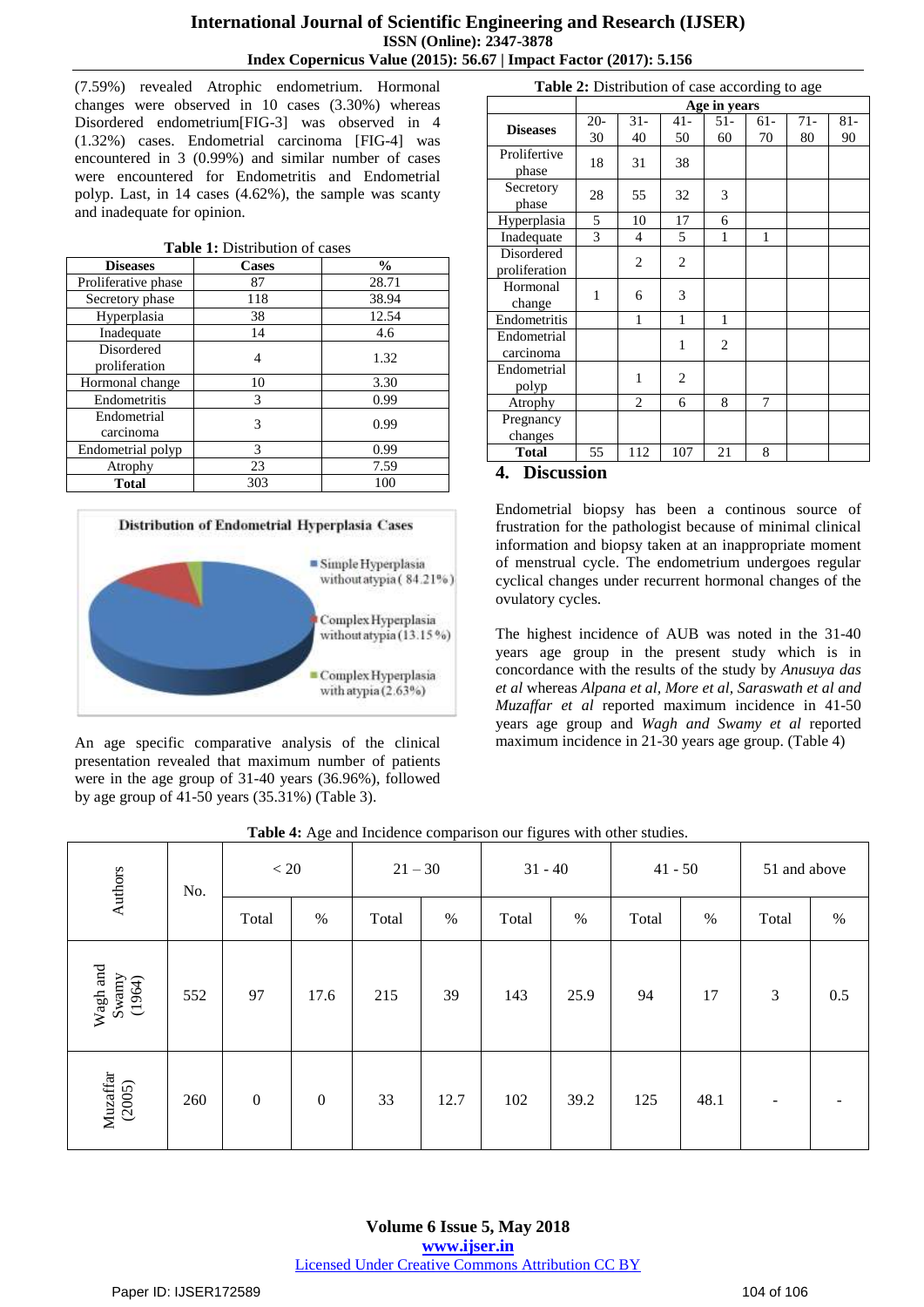(7.59%) revealed Atrophic endometrium. Hormonal changes were observed in 10 cases (3.30%) whereas Disordered endometrium[FIG-3] was observed in 4 (1.32%) cases. Endometrial carcinoma [FIG-4] was encountered in 3 (0.99%) and similar number of cases were encountered for Endometritis and Endometrial polyp. Last, in 14 cases (4.62%), the sample was scanty and inadequate for opinion.

|  |  | <b>Table 1:</b> Distribution of cases |  |  |
|--|--|---------------------------------------|--|--|
|--|--|---------------------------------------|--|--|

| <b>Diseases</b>             | <b>Cases</b> | $\frac{0}{0}$ |
|-----------------------------|--------------|---------------|
| Proliferative phase         | 87           | 28.71         |
| Secretory phase             | 118          | 38.94         |
| Hyperplasia                 | 38           | 12.54         |
| Inadequate                  | 14           | 4.6           |
| Disordered<br>proliferation | 4            | 1.32          |
| Hormonal change             | 10           | 3.30          |
| Endometritis                | 3            | 0.99          |
| Endometrial<br>carcinoma    | 3            | 0.99          |
| Endometrial polyp           | 3            | 0.99          |
| Atrophy                     | 23           | 7.59          |
| Total                       | 303          | 100           |



An age specific comparative analysis of the clinical presentation revealed that maximum number of patients were in the age group of 31-40 years (36.96%), followed by age group of 41-50 years (35.31%) (Table 3).

| <b>Table 2:</b> Distribution of case according to age |              |                |                |                |              |             |              |  |
|-------------------------------------------------------|--------------|----------------|----------------|----------------|--------------|-------------|--------------|--|
|                                                       | Age in years |                |                |                |              |             |              |  |
| <b>Diseases</b>                                       | $20 -$<br>30 | $31 -$<br>40   | $41 -$<br>50   | $51-$<br>60    | 61-<br>70    | $71-$<br>80 | $81 -$<br>90 |  |
| Prolifertive<br>phase                                 | 18           | 31             | 38             |                |              |             |              |  |
| Secretory<br>phase                                    | 28           | 55             | 32             | 3              |              |             |              |  |
| Hyperplasia                                           | 5            | 10             | 17             | 6              |              |             |              |  |
| Inadequate                                            | 3            | $\overline{4}$ | 5              | $\mathbf{1}$   | $\mathbf{1}$ |             |              |  |
| Disordered<br>proliferation                           |              | 2              | 2              |                |              |             |              |  |
| Hormonal<br>change                                    | 1            | 6              | 3              |                |              |             |              |  |
| Endometritis                                          |              | 1              | 1              | 1              |              |             |              |  |
| Endometrial<br>carcinoma                              |              |                | $\mathbf{1}$   | $\overline{2}$ |              |             |              |  |
| Endometrial<br>polyp                                  |              | 1              | $\overline{c}$ |                |              |             |              |  |
| Atrophy                                               |              | 2              | 6              | 8              | 7            |             |              |  |
| Pregnancy<br>changes                                  |              |                |                |                |              |             |              |  |
| <b>Total</b>                                          | 55           | 112            | 107            | 21             | 8            |             |              |  |
| r.<br>$\blacksquare$                                  | ٠            |                |                |                |              |             |              |  |

**Table 2:** Distribution of case and

#### **4. Discussion**

Endometrial biopsy has been a continous source of frustration for the pathologist because of minimal clinical information and biopsy taken at an inappropriate moment of menstrual cycle. The endometrium undergoes regular cyclical changes under recurrent hormonal changes of the ovulatory cycles.

The highest incidence of AUB was noted in the 31-40 years age group in the present study which is in concordance with the results of the study by *Anusuya das et al* whereas *Alpana et al, More et al, Saraswath et al and Muzaffar et al* reported maximum incidence in 41-50 years age group and *Wagh and Swamy et al* reported maximum incidence in 21-30 years age group. (Table 4)

| Authors<br>No.                                                               | $< 20\,$ |                  | $21 - 30$        |       | $31 - 40$ |       | $41 - 50$ |       | 51 and above |                |      |
|------------------------------------------------------------------------------|----------|------------------|------------------|-------|-----------|-------|-----------|-------|--------------|----------------|------|
|                                                                              |          | Total            | $\%$             | Total | $\%$      | Total | $\%$      | Total | $\%$         | Total          | $\%$ |
| Wagh and<br>$\begin{array}{c} \textrm{Swany} \\ \textrm{(1964)} \end{array}$ | 552      | 97               | 17.6             | 215   | 39        | 143   | 25.9      | 94    | 17           | $\mathfrak{Z}$ | 0.5  |
| $\begin{array}{c} \text{Muzaffar} \\ (2005) \end{array}$                     | 260      | $\boldsymbol{0}$ | $\boldsymbol{0}$ | 33    | 12.7      | 102   | 39.2      | 125   | 48.1         | -              |      |

#### **Table 4:** Age and Incidence comparison our figures with other studies.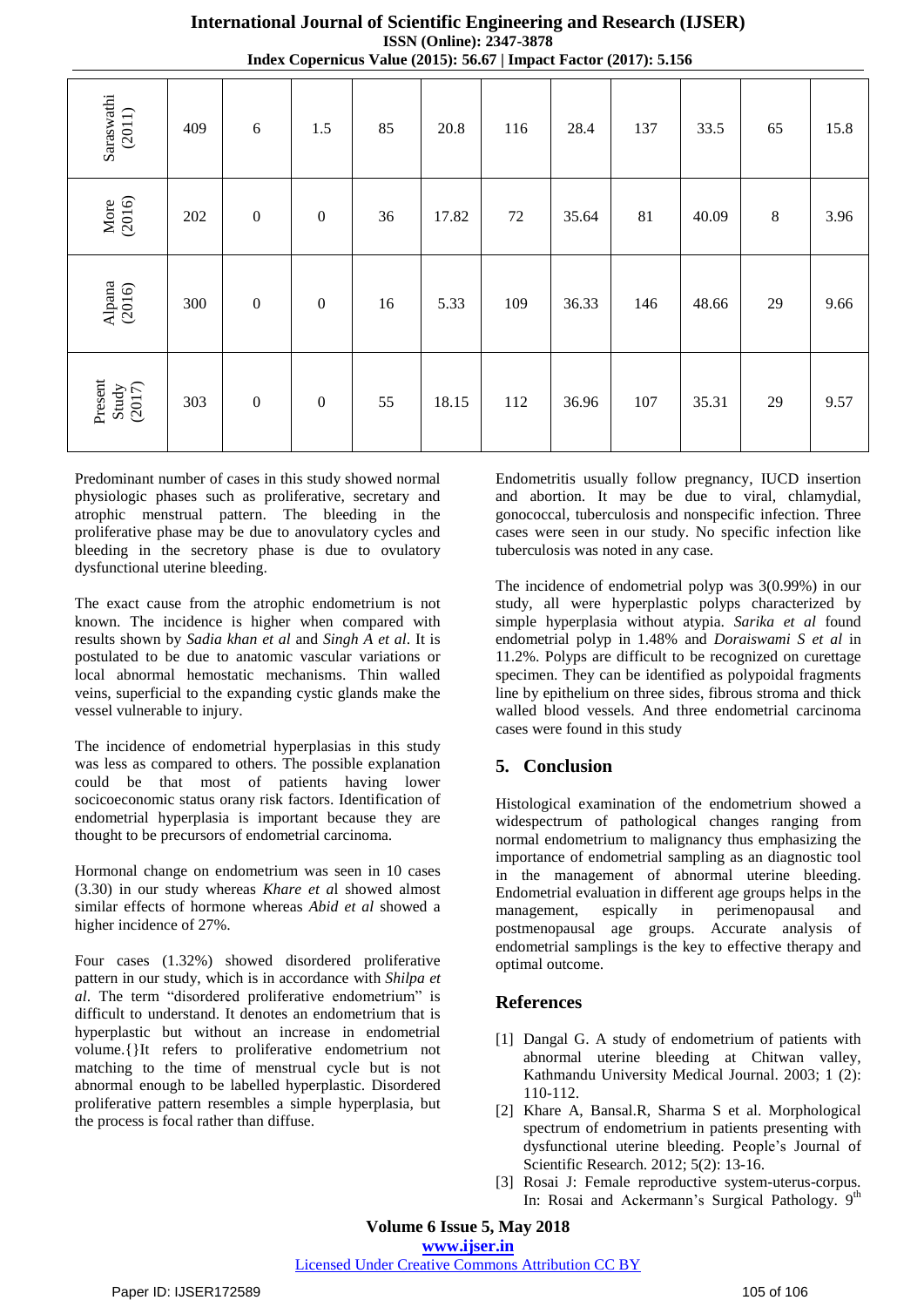Saraswathi (2011) 409 | 6 | 1.5 | 85 | 20.8 | 116 | 28.4 | 137 | 33.5 | 65 | 15.8 More (2016) 202 0 0 36 17.82 72 35.64 81 40.09 8 3.96 Alpana (2016) 300 0 0 16 5.33 109 36.33 146 48.66 29 9.66 Present Study (2017) 303 0 0 55 18.15 112 36.96 107 35.31 29 9.57

**International Journal of Scientific Engineering and Research (IJSER) ISSN (Online): 2347-3878 Index Copernicus Value (2015): 56.67 | Impact Factor (2017): 5.156**

Predominant number of cases in this study showed normal physiologic phases such as proliferative, secretary and atrophic menstrual pattern. The bleeding in the proliferative phase may be due to anovulatory cycles and bleeding in the secretory phase is due to ovulatory dysfunctional uterine bleeding.

The exact cause from the atrophic endometrium is not known. The incidence is higher when compared with results shown by *Sadia khan et al* and *Singh A et al*. It is postulated to be due to anatomic vascular variations or local abnormal hemostatic mechanisms. Thin walled veins, superficial to the expanding cystic glands make the vessel vulnerable to injury.

The incidence of endometrial hyperplasias in this study was less as compared to others. The possible explanation could be that most of patients having lower socicoeconomic status orany risk factors. Identification of endometrial hyperplasia is important because they are thought to be precursors of endometrial carcinoma.

Hormonal change on endometrium was seen in 10 cases (3.30) in our study whereas *Khare et a*l showed almost similar effects of hormone whereas *Abid et al* showed a higher incidence of 27%.

Four cases (1.32%) showed disordered proliferative pattern in our study, which is in accordance with *Shilpa et al*. The term "disordered proliferative endometrium" is difficult to understand. It denotes an endometrium that is hyperplastic but without an increase in endometrial volume.{}It refers to proliferative endometrium not matching to the time of menstrual cycle but is not abnormal enough to be labelled hyperplastic. Disordered proliferative pattern resembles a simple hyperplasia, but the process is focal rather than diffuse.

Endometritis usually follow pregnancy, IUCD insertion and abortion. It may be due to viral, chlamydial, gonococcal, tuberculosis and nonspecific infection. Three cases were seen in our study. No specific infection like tuberculosis was noted in any case.

The incidence of endometrial polyp was 3(0.99%) in our study, all were hyperplastic polyps characterized by simple hyperplasia without atypia. *Sarika et al* found endometrial polyp in 1.48% and *Doraiswami S et al* in 11.2%. Polyps are difficult to be recognized on curettage specimen. They can be identified as polypoidal fragments line by epithelium on three sides, fibrous stroma and thick walled blood vessels. And three endometrial carcinoma cases were found in this study

## **5. Conclusion**

Histological examination of the endometrium showed a widespectrum of pathological changes ranging from normal endometrium to malignancy thus emphasizing the importance of endometrial sampling as an diagnostic tool in the management of abnormal uterine bleeding. Endometrial evaluation in different age groups helps in the management, espically in perimenopausal and postmenopausal age groups. Accurate analysis of endometrial samplings is the key to effective therapy and optimal outcome.

#### **References**

- [1] Dangal G. A study of endometrium of patients with abnormal uterine bleeding at Chitwan valley, Kathmandu University Medical Journal. 2003; 1 (2): 110-112.
- [2] Khare A, Bansal.R, Sharma S et al. Morphological spectrum of endometrium in patients presenting with dysfunctional uterine bleeding. People's Journal of Scientific Research. 2012; 5(2): 13-16.
- [3] Rosai J: Female reproductive system-uterus-corpus. In: Rosai and Ackermann's Surgical Pathology. 9<sup>th</sup>